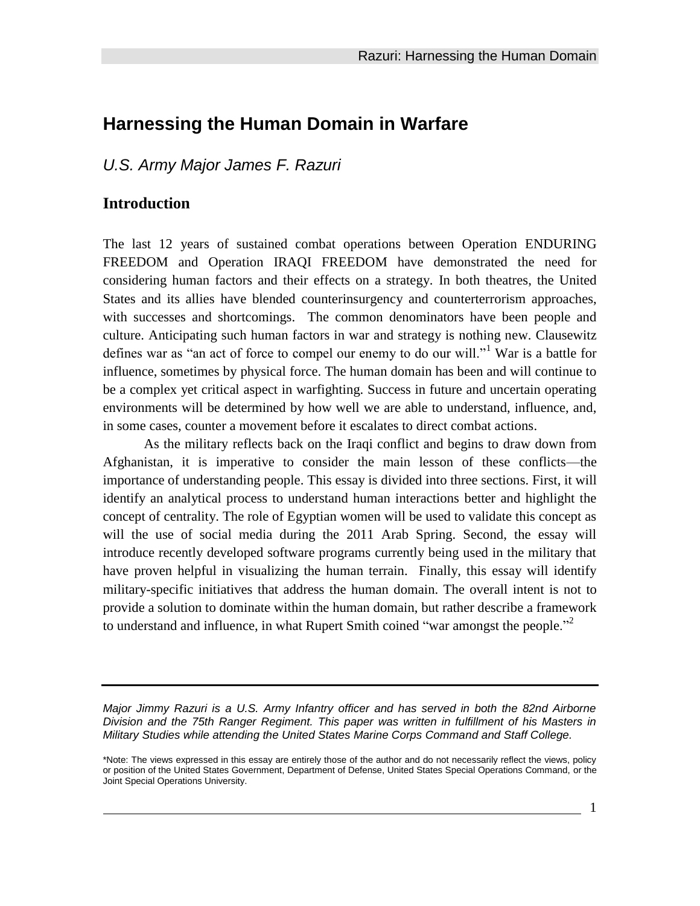## **Harnessing the Human Domain in Warfare**

*U.S. Army Major James F. Razuri*

### **Introduction**

The last 12 years of sustained combat operations between Operation ENDURING FREEDOM and Operation IRAQI FREEDOM have demonstrated the need for considering human factors and their effects on a strategy. In both theatres, the United States and its allies have blended counterinsurgency and counterterrorism approaches, with successes and shortcomings. The common denominators have been people and culture. Anticipating such human factors in war and strategy is nothing new. Clausewitz defines war as "an act of force to compel our enemy to do our will."<sup>1</sup> War is a battle for influence, sometimes by physical force. The human domain has been and will continue to be a complex yet critical aspect in warfighting. Success in future and uncertain operating environments will be determined by how well we are able to understand, influence, and, in some cases, counter a movement before it escalates to direct combat actions.

As the military reflects back on the Iraqi conflict and begins to draw down from Afghanistan, it is imperative to consider the main lesson of these conflicts—the importance of understanding people. This essay is divided into three sections. First, it will identify an analytical process to understand human interactions better and highlight the concept of centrality. The role of Egyptian women will be used to validate this concept as will the use of social media during the 2011 Arab Spring. Second, the essay will introduce recently developed software programs currently being used in the military that have proven helpful in visualizing the human terrain. Finally, this essay will identify military-specific initiatives that address the human domain. The overall intent is not to provide a solution to dominate within the human domain, but rather describe a framework to understand and influence, in what Rupert Smith coined "war amongst the people."<sup>2</sup>

*Major Jimmy Razuri is a U.S. Army Infantry officer and has served in both the 82nd Airborne Division and the 75th Ranger Regiment. This paper was written in fulfillment of his Masters in Military Studies while attending the United States Marine Corps Command and Staff College.* 

<sup>\*</sup>Note: The views expressed in this essay are entirely those of the author and do not necessarily reflect the views, policy or position of the United States Government, Department of Defense, United States Special Operations Command, or the Joint Special Operations University.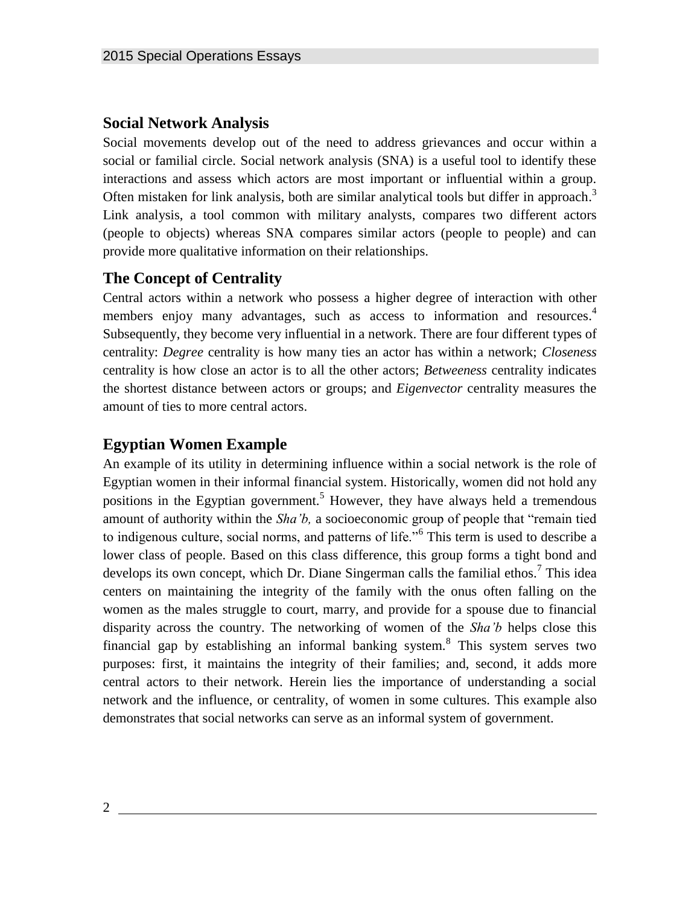### **Social Network Analysis**

Social movements develop out of the need to address grievances and occur within a social or familial circle. Social network analysis (SNA) is a useful tool to identify these interactions and assess which actors are most important or influential within a group. Often mistaken for link analysis, both are similar analytical tools but differ in approach.<sup>3</sup> Link analysis, a tool common with military analysts, compares two different actors (people to objects) whereas SNA compares similar actors (people to people) and can provide more qualitative information on their relationships.

## **The Concept of Centrality**

Central actors within a network who possess a higher degree of interaction with other members enjoy many advantages, such as access to information and resources.<sup>4</sup> Subsequently, they become very influential in a network. There are four different types of centrality: *Degree* centrality is how many ties an actor has within a network; *Closeness* centrality is how close an actor is to all the other actors; *Betweeness* centrality indicates the shortest distance between actors or groups; and *Eigenvector* centrality measures the amount of ties to more central actors.

### **Egyptian Women Example**

An example of its utility in determining influence within a social network is the role of Egyptian women in their informal financial system. Historically, women did not hold any positions in the Egyptian government.<sup>5</sup> However, they have always held a tremendous amount of authority within the *Sha'b,* a socioeconomic group of people that "remain tied to indigenous culture, social norms, and patterns of life."<sup>6</sup> This term is used to describe a lower class of people. Based on this class difference, this group forms a tight bond and develops its own concept, which Dr. Diane Singerman calls the familial ethos.<sup>7</sup> This idea centers on maintaining the integrity of the family with the onus often falling on the women as the males struggle to court, marry, and provide for a spouse due to financial disparity across the country. The networking of women of the *Sha'b* helps close this financial gap by establishing an informal banking system.<sup>8</sup> This system serves two purposes: first, it maintains the integrity of their families; and, second, it adds more central actors to their network. Herein lies the importance of understanding a social network and the influence, or centrality, of women in some cultures. This example also demonstrates that social networks can serve as an informal system of government.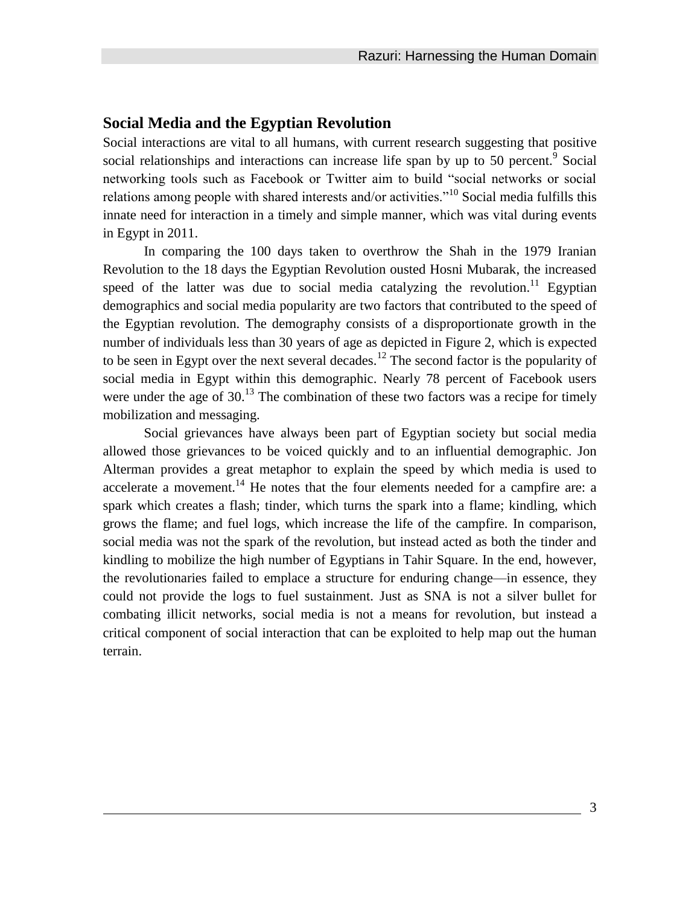#### **Social Media and the Egyptian Revolution**

Social interactions are vital to all humans, with current research suggesting that positive social relationships and interactions can increase life span by up to 50 percent.<sup>9</sup> Social networking tools such as Facebook or Twitter aim to build "social networks or social relations among people with shared interests and/or activities.<sup> $10$ </sup> Social media fulfills this innate need for interaction in a timely and simple manner, which was vital during events in Egypt in 2011.

In comparing the 100 days taken to overthrow the Shah in the 1979 Iranian Revolution to the 18 days the Egyptian Revolution ousted Hosni Mubarak, the increased speed of the latter was due to social media catalyzing the revolution.<sup>11</sup> Egyptian demographics and social media popularity are two factors that contributed to the speed of the Egyptian revolution. The demography consists of a disproportionate growth in the number of individuals less than 30 years of age as depicted in Figure 2, which is expected to be seen in Egypt over the next several decades.<sup>12</sup> The second factor is the popularity of social media in Egypt within this demographic. Nearly 78 percent of Facebook users were under the age of  $30<sup>13</sup>$ . The combination of these two factors was a recipe for timely mobilization and messaging.

Social grievances have always been part of Egyptian society but social media allowed those grievances to be voiced quickly and to an influential demographic. Jon Alterman provides a great metaphor to explain the speed by which media is used to accelerate a movement.<sup>14</sup> He notes that the four elements needed for a campfire are: a spark which creates a flash; tinder, which turns the spark into a flame; kindling, which grows the flame; and fuel logs, which increase the life of the campfire. In comparison, social media was not the spark of the revolution, but instead acted as both the tinder and kindling to mobilize the high number of Egyptians in Tahir Square. In the end, however, the revolutionaries failed to emplace a structure for enduring change—in essence, they could not provide the logs to fuel sustainment. Just as SNA is not a silver bullet for combating illicit networks, social media is not a means for revolution, but instead a critical component of social interaction that can be exploited to help map out the human terrain.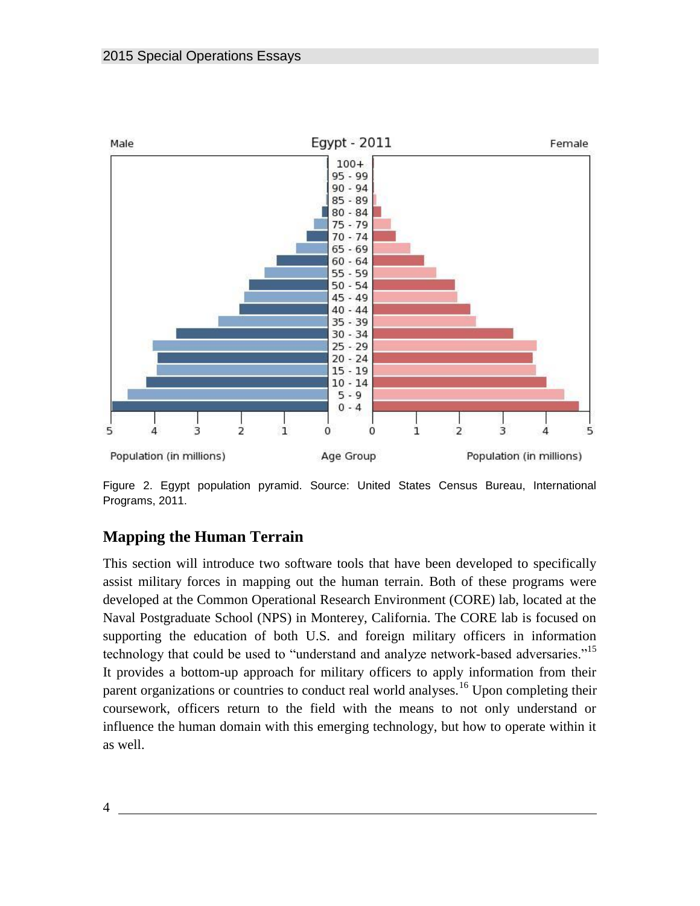

Figure 2. Egypt population pyramid. Source: United States Census Bureau, International Programs, 2011.

# **Mapping the Human Terrain**

This section will introduce two software tools that have been developed to specifically assist military forces in mapping out the human terrain. Both of these programs were developed at the Common Operational Research Environment (CORE) lab, located at the Naval Postgraduate School (NPS) in Monterey, California. The CORE lab is focused on supporting the education of both U.S. and foreign military officers in information technology that could be used to "understand and analyze network-based adversaries."<sup>15</sup> It provides a bottom-up approach for military officers to apply information from their parent organizations or countries to conduct real world analyses.<sup>16</sup> Upon completing their coursework, officers return to the field with the means to not only understand or influence the human domain with this emerging technology, but how to operate within it as well.

4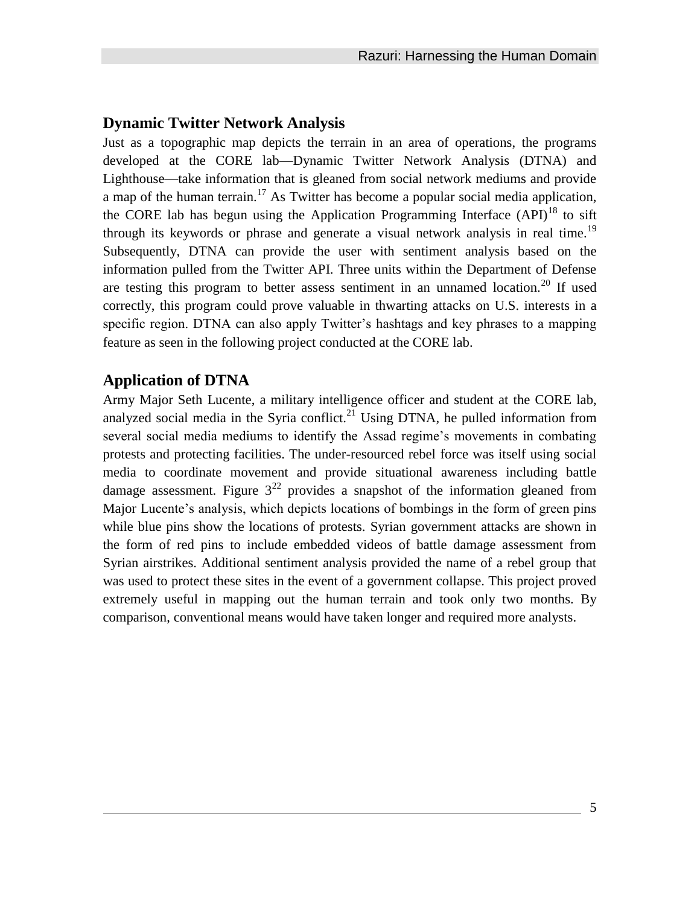### **Dynamic Twitter Network Analysis**

Just as a topographic map depicts the terrain in an area of operations, the programs developed at the CORE lab—Dynamic Twitter Network Analysis (DTNA) and Lighthouse—take information that is gleaned from social network mediums and provide a map of the human terrain.<sup>17</sup> As Twitter has become a popular social media application, the CORE lab has begun using the Application Programming Interface  $(API)^{18}$  to sift through its keywords or phrase and generate a visual network analysis in real time.<sup>19</sup> Subsequently, DTNA can provide the user with sentiment analysis based on the information pulled from the Twitter API. Three units within the Department of Defense are testing this program to better assess sentiment in an unnamed location.<sup>20</sup> If used correctly, this program could prove valuable in thwarting attacks on U.S. interests in a specific region. DTNA can also apply Twitter's hashtags and key phrases to a mapping feature as seen in the following project conducted at the CORE lab.

### **Application of DTNA**

Army Major Seth Lucente, a military intelligence officer and student at the CORE lab, analyzed social media in the Syria conflict.<sup>21</sup> Using DTNA, he pulled information from several social media mediums to identify the Assad regime's movements in combating protests and protecting facilities. The under-resourced rebel force was itself using social media to coordinate movement and provide situational awareness including battle damage assessment. Figure  $3^{22}$  provides a snapshot of the information gleaned from Major Lucente's analysis, which depicts locations of bombings in the form of green pins while blue pins show the locations of protests. Syrian government attacks are shown in the form of red pins to include embedded videos of battle damage assessment from Syrian airstrikes. Additional sentiment analysis provided the name of a rebel group that was used to protect these sites in the event of a government collapse. This project proved extremely useful in mapping out the human terrain and took only two months. By comparison, conventional means would have taken longer and required more analysts.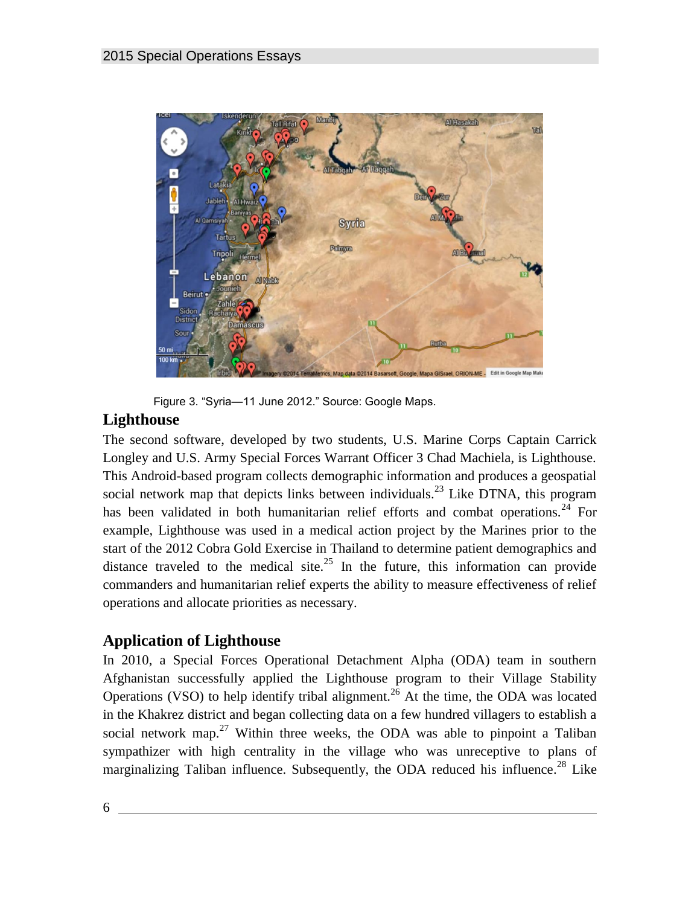

Figure 3. "Syria—11 June 2012." Source: Google Maps.

# **Lighthouse**

The second software, developed by two students, U.S. Marine Corps Captain Carrick Longley and U.S. Army Special Forces Warrant Officer 3 Chad Machiela, is Lighthouse. This Android-based program collects demographic information and produces a geospatial social network map that depicts links between individuals.<sup>23</sup> Like DTNA, this program has been validated in both humanitarian relief efforts and combat operations.<sup>24</sup> For example, Lighthouse was used in a medical action project by the Marines prior to the start of the 2012 Cobra Gold Exercise in Thailand to determine patient demographics and distance traveled to the medical site.<sup>25</sup> In the future, this information can provide commanders and humanitarian relief experts the ability to measure effectiveness of relief operations and allocate priorities as necessary.

# **Application of Lighthouse**

In 2010, a Special Forces Operational Detachment Alpha (ODA) team in southern Afghanistan successfully applied the Lighthouse program to their Village Stability Operations (VSO) to help identify tribal alignment.<sup>26</sup> At the time, the ODA was located in the Khakrez district and began collecting data on a few hundred villagers to establish a social network map.<sup>27</sup> Within three weeks, the ODA was able to pinpoint a Taliban sympathizer with high centrality in the village who was unreceptive to plans of marginalizing Taliban influence. Subsequently, the ODA reduced his influence.<sup>28</sup> Like

6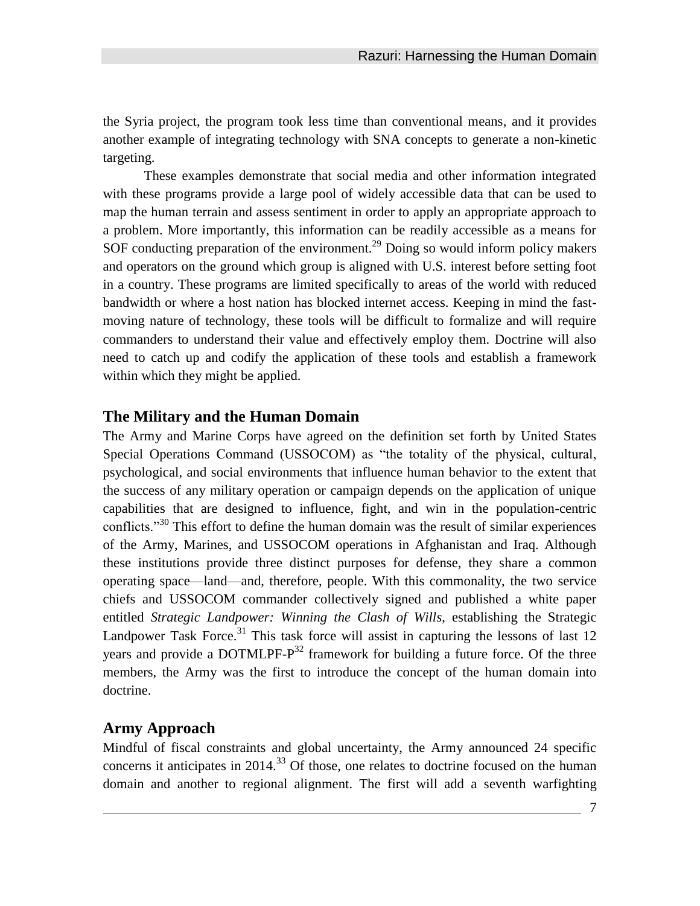the Syria project, the program took less time than conventional means, and it provides another example of integrating technology with SNA concepts to generate a non-kinetic targeting.

These examples demonstrate that social media and other information integrated with these programs provide a large pool of widely accessible data that can be used to map the human terrain and assess sentiment in order to apply an appropriate approach to a problem. More importantly, this information can be readily accessible as a means for SOF conducting preparation of the environment.<sup>29</sup> Doing so would inform policy makers and operators on the ground which group is aligned with U.S. interest before setting foot in a country. These programs are limited specifically to areas of the world with reduced bandwidth or where a host nation has blocked internet access. Keeping in mind the fastmoving nature of technology, these tools will be difficult to formalize and will require commanders to understand their value and effectively employ them. Doctrine will also need to catch up and codify the application of these tools and establish a framework within which they might be applied.

#### **The Military and the Human Domain**

The Army and Marine Corps have agreed on the definition set forth by United States Special Operations Command (USSOCOM) as "the totality of the physical, cultural, psychological, and social environments that influence human behavior to the extent that the success of any military operation or campaign depends on the application of unique capabilities that are designed to influence, fight, and win in the population-centric conflicts.<sup>"30</sup> This effort to define the human domain was the result of similar experiences of the Army, Marines, and USSOCOM operations in Afghanistan and Iraq. Although these institutions provide three distinct purposes for defense, they share a common operating space—land—and, therefore, people. With this commonality, the two service chiefs and USSOCOM commander collectively signed and published a white paper entitled *Strategic Landpower: Winning the Clash of Wills*, establishing the Strategic Landpower Task Force.<sup>31</sup> This task force will assist in capturing the lessons of last  $12$ years and provide a DOTMLPF- $P^{32}$  framework for building a future force. Of the three members, the Army was the first to introduce the concept of the human domain into doctrine.

#### **Army Approach**

Mindful of fiscal constraints and global uncertainty, the Army announced 24 specific concerns it anticipates in  $2014$ <sup>33</sup> Of those, one relates to doctrine focused on the human domain and another to regional alignment. The first will add a seventh warfighting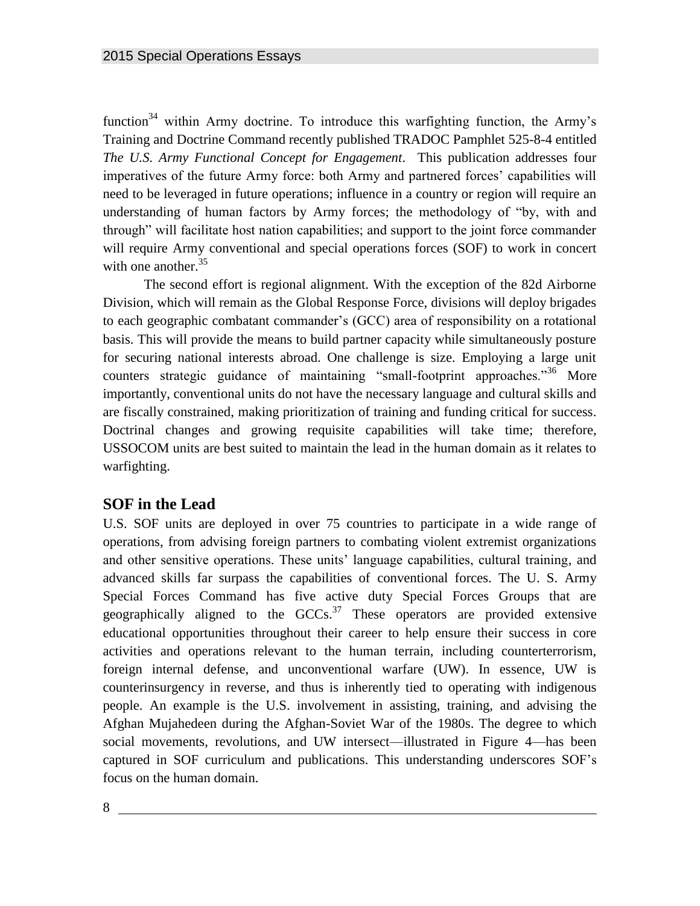function<sup>34</sup> within Army doctrine. To introduce this warfighting function, the Army's Training and Doctrine Command recently published TRADOC Pamphlet 525-8-4 entitled *The U.S. Army Functional Concept for Engagement*. This publication addresses four imperatives of the future Army force: both Army and partnered forces' capabilities will need to be leveraged in future operations; influence in a country or region will require an understanding of human factors by Army forces; the methodology of "by, with and through" will facilitate host nation capabilities; and support to the joint force commander will require Army conventional and special operations forces (SOF) to work in concert with one another.  $35$ 

The second effort is regional alignment. With the exception of the 82d Airborne Division, which will remain as the Global Response Force, divisions will deploy brigades to each geographic combatant commander's (GCC) area of responsibility on a rotational basis. This will provide the means to build partner capacity while simultaneously posture for securing national interests abroad. One challenge is size. Employing a large unit counters strategic guidance of maintaining "small-footprint approaches."<sup>36</sup> More importantly, conventional units do not have the necessary language and cultural skills and are fiscally constrained, making prioritization of training and funding critical for success. Doctrinal changes and growing requisite capabilities will take time; therefore, USSOCOM units are best suited to maintain the lead in the human domain as it relates to warfighting.

### **SOF in the Lead**

U.S. SOF units are deployed in over 75 countries to participate in a wide range of operations, from advising foreign partners to combating violent extremist organizations and other sensitive operations. These units' language capabilities, cultural training, and advanced skills far surpass the capabilities of conventional forces. The U. S. Army Special Forces Command has five active duty Special Forces Groups that are geographically aligned to the  $GCCs<sup>37</sup>$  These operators are provided extensive educational opportunities throughout their career to help ensure their success in core activities and operations relevant to the human terrain, including counterterrorism, foreign internal defense, and unconventional warfare (UW). In essence, UW is counterinsurgency in reverse, and thus is inherently tied to operating with indigenous people. An example is the U.S. involvement in assisting, training, and advising the Afghan Mujahedeen during the Afghan-Soviet War of the 1980s. The degree to which social movements, revolutions, and UW intersect—illustrated in Figure 4—has been captured in SOF curriculum and publications. This understanding underscores SOF's focus on the human domain.

8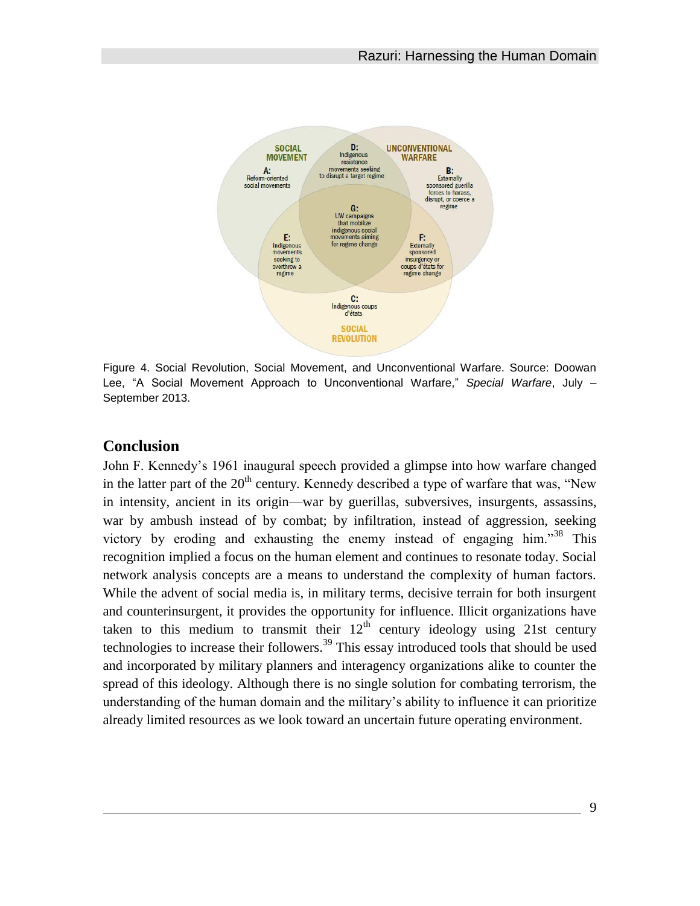

Figure 4. Social Revolution, Social Movement, and Unconventional Warfare. Source: Doowan Lee, "A Social Movement Approach to Unconventional Warfare," *Special Warfare*, July – September 2013.

### **Conclusion**

John F. Kennedy's 1961 inaugural speech provided a glimpse into how warfare changed in the latter part of the  $20<sup>th</sup>$  century. Kennedy described a type of warfare that was, "New in intensity, ancient in its origin—war by guerillas, subversives, insurgents, assassins, war by ambush instead of by combat; by infiltration, instead of aggression, seeking victory by eroding and exhausting the enemy instead of engaging him."<sup>38</sup> This recognition implied a focus on the human element and continues to resonate today. Social network analysis concepts are a means to understand the complexity of human factors. While the advent of social media is, in military terms, decisive terrain for both insurgent and counterinsurgent, it provides the opportunity for influence. Illicit organizations have taken to this medium to transmit their  $12<sup>th</sup>$  century ideology using 21st century technologies to increase their followers.<sup>39</sup> This essay introduced tools that should be used and incorporated by military planners and interagency organizations alike to counter the spread of this ideology. Although there is no single solution for combating terrorism, the understanding of the human domain and the military's ability to influence it can prioritize already limited resources as we look toward an uncertain future operating environment.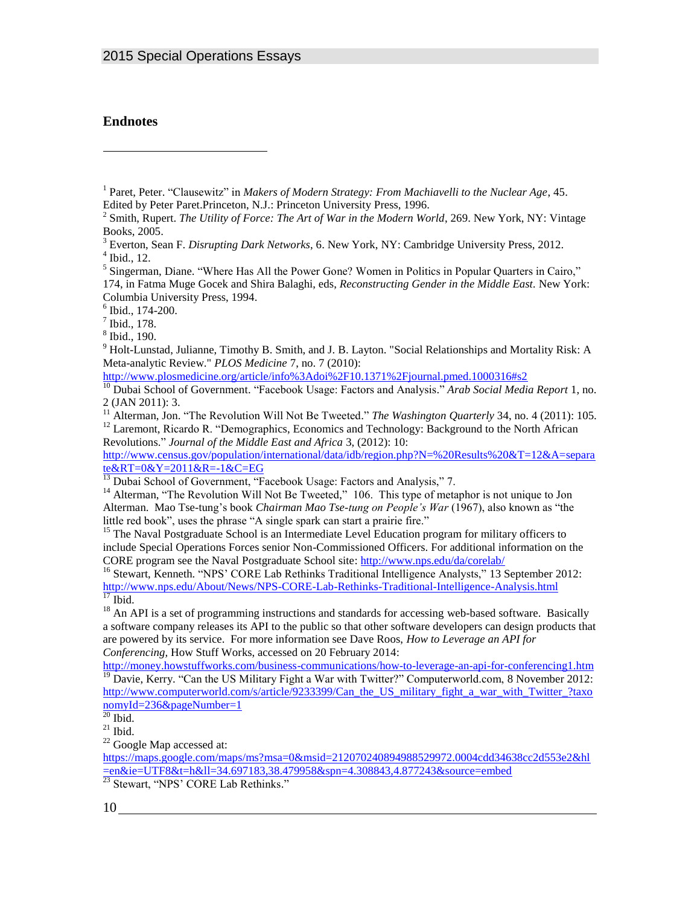#### **Endnotes**

l

 $6$  Ibid., 174-200.

7 Ibid., 178.

<sup>9</sup> Holt-Lunstad, Julianne, Timothy B. Smith, and J. B. Layton. "Social Relationships and Mortality Risk: A Meta-analytic Review." *PLOS Medicine* 7, no. 7 (2010):

<http://www.plosmedicine.org/article/info%3Adoi%2F10.1371%2Fjournal.pmed.1000316#s2>

<sup>10</sup> Dubai School of Government. "Facebook Usage: Factors and Analysis." *Arab Social Media Report* 1, no. 2 (JAN 2011): 3.

Revolutions." *Journal of the Middle East and Africa* 3, (2012): 10: [http://www.census.gov/population/international/data/idb/region.php?N=%20Results%20&T=12&A=separa](http://www.census.gov/population/international/data/idb/region.php?N=%20Results%20&T=12&A=separate&RT=0&Y=2011&R=-1&C=EG) [te&RT=0&Y=2011&R=-1&C=EG](http://www.census.gov/population/international/data/idb/region.php?N=%20Results%20&T=12&A=separate&RT=0&Y=2011&R=-1&C=EG) 

<sup>15</sup> The Naval Postgraduate School is an Intermediate Level Education program for military officers to include Special Operations Forces senior Non-Commissioned Officers. For additional information on the CORE program see the Naval Postgraduate School site: <http://www.nps.edu/da/corelab/>

<sup>16</sup> Stewart, Kenneth. "NPS' CORE Lab Rethinks Traditional Intelligence Analysts," 13 September 2012: <http://www.nps.edu/About/News/NPS-CORE-Lab-Rethinks-Traditional-Intelligence-Analysis.html>  $\overline{^{17}}$  Ibid.

<sup>18</sup> An API is a set of programming instructions and standards for accessing web-based software. Basically a software company releases its API to the public so that other software developers can design products that are powered by its service. For more information see Dave Roos, *How to Leverage an API for Conferencing,* How Stuff Works, accessed on 20 February 2014:

<http://money.howstuffworks.com/business-communications/how-to-leverage-an-api-for-conferencing1.htm>  $19$  Davie, Kerry. "Can the US Military Fight a War with Twitter?" Computerworld.com, 8 November 2012: [http://www.computerworld.com/s/article/9233399/Can\\_the\\_US\\_military\\_fight\\_a\\_war\\_with\\_Twitter\\_?taxo](http://www.computerworld.com/s/article/9233399/Can_the_US_military_fight_a_war_with_Twitter_?taxonomyId=236&pageNumber=1) [nomyId=236&pageNumber=1](http://www.computerworld.com/s/article/9233399/Can_the_US_military_fight_a_war_with_Twitter_?taxonomyId=236&pageNumber=1)

 $21$  Ibid.

<sup>22</sup> Google Map accessed at:

[https://maps.google.com/maps/ms?msa=0&msid=212070240894988529972.0004cdd34638cc2d553e2&hl](https://maps.google.com/maps/ms?msa=0&msid=212070240894988529972.0004cdd34638cc2d553e2&hl=en&ie=UTF8&t=h&ll=34.697183,38.479958&spn=4.308843,4.877243&source=embed) [=en&ie=UTF8&t=h&ll=34.697183,38.479958&spn=4.308843,4.877243&source=embed](https://maps.google.com/maps/ms?msa=0&msid=212070240894988529972.0004cdd34638cc2d553e2&hl=en&ie=UTF8&t=h&ll=34.697183,38.479958&spn=4.308843,4.877243&source=embed)

<sup>23</sup> Stewart, "NPS' CORE Lab Rethinks."

<sup>&</sup>lt;sup>1</sup> Paret, Peter. "Clausewitz" in *Makers of Modern Strategy: From Machiavelli to the Nuclear Age*, 45. Edited by Peter Paret.Princeton, N.J.: Princeton University Press, 1996.

<sup>&</sup>lt;sup>2</sup> Smith, Rupert. *The Utility of Force: The Art of War in the Modern World*, 269. New York, NY: Vintage Books, 2005.

<sup>3</sup> Everton, Sean F. *Disrupting Dark Networks*, 6. New York, NY: Cambridge University Press, 2012.

<sup>4</sup> Ibid., 12.

<sup>&</sup>lt;sup>5</sup> Singerman, Diane. "Where Has All the Power Gone? Women in Politics in Popular Quarters in Cairo," 174, in Fatma Muge Gocek and Shira Balaghi, eds, *Reconstructing Gender in the Middle East.* New York: Columbia University Press, 1994.

<sup>8</sup> Ibid., 190.

<sup>&</sup>lt;sup>11</sup> Alterman, Jon. "The Revolution Will Not Be Tweeted." *The Washington Quarterly* 34, no. 4 (2011): 105. <sup>12</sup> Laremont, Ricardo R. "Demographics, Economics and Technology: Background to the North African

<sup>&</sup>lt;sup>13</sup> Dubai School of Government, "Facebook Usage: Factors and Analysis," 7.

<sup>&</sup>lt;sup>14</sup> Alterman, "The Revolution Will Not Be Tweeted," 106. This type of metaphor is not unique to Jon Alterman. Mao Tse-tung's book *Chairman Mao Tse-tung on People's War* (1967), also known as "the little red book", uses the phrase "A single spark can start a prairie fire."

 $20$  Ibid.